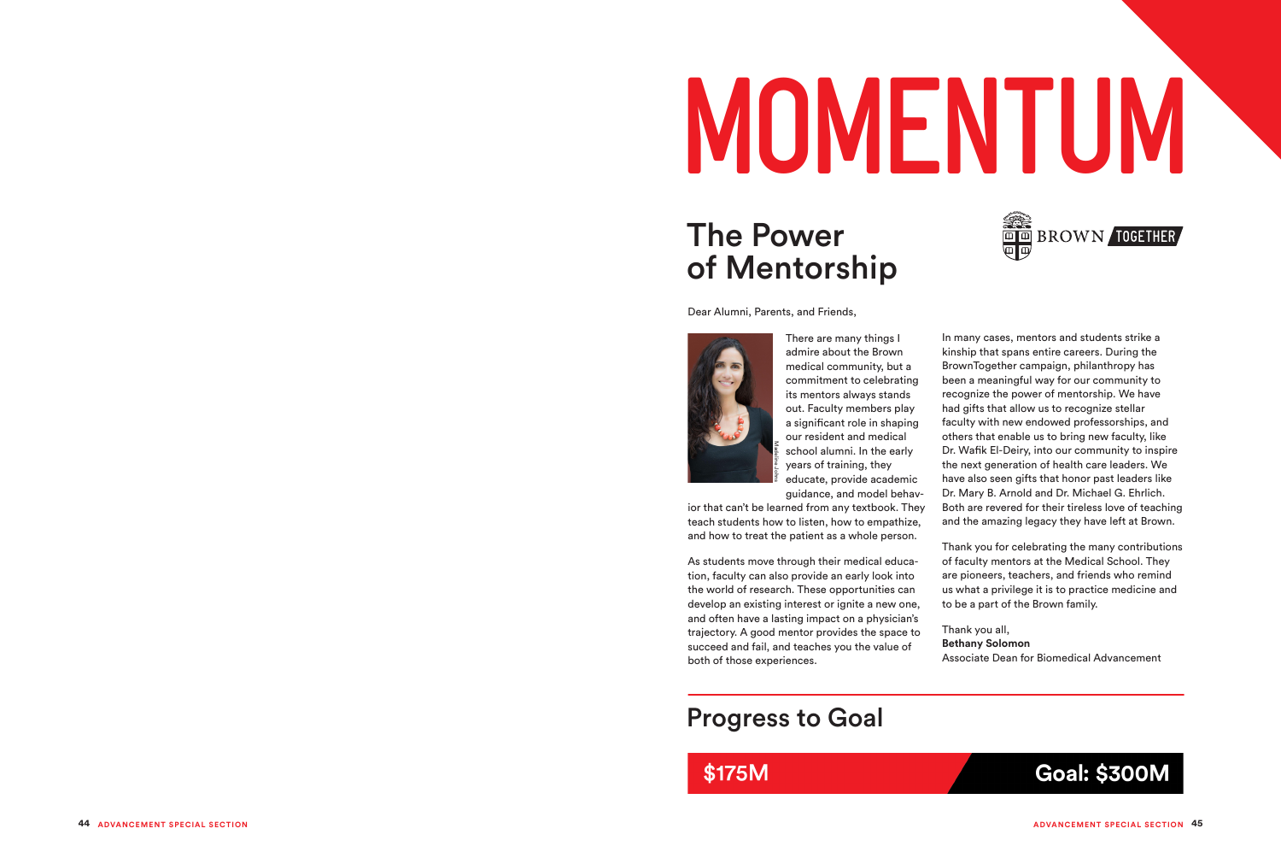

### Progress to Goal

### \$175M

In many cases, mentors and students strike a kinship that spans entire careers. During the BrownTogether campaign, philanthropy has been a meaningful way for our community to recognize the power of mentorship. We have had gifts that allow us to recognize stellar faculty with new endowed professorships, and others that enable us to bring new faculty, like Dr. Wafik El-Deiry, into our community to inspire the next generation of health care leaders. We have also seen gifts that honor past leaders like Dr. Mary B. Arnold and Dr. Michael G. Ehrlich. Both are revered for their tireless love of teaching and the amazing legacy they have left at Brown.

As students move through their medical educa tion, faculty can also provide an early look into the world of research. These opportunities can develop an existing interest or ignite a new one, and often have a lasting impact on a physician's trajectory. A good mentor provides the space to succeed and fail, and teaches you the value of school<br>
Franch of that can't be learned from that can't be learned from that can't be learned from the advertising and how to treat the patier<br>
As students move through tion, faculty can also provide<br>
the world of research

Thank you for celebrating the many contributions of faculty mentors at the Medical School. They are pioneers, teachers, and friends who remind us what a privilege it is to practice medicine and to be a part of the Brown family.

Thank you all, **Bethany Solomon** Associate Dean for Biomedical Advancement



# **MOMENTUM**

### The Power of Mentorship

Dear Alumni, Parents, and Friends,



There are many things I admire about the Brown medical community, but a commitment to celebrating its mentors always stands out. Faculty members play a significant role in shaping our resident and medical school alumni. In the early years of training, they educate, provide academic guidance, and model behav -

ior that can't be learned from any textbook. They teach students how to listen, how to empathize, and how to treat the patient as a whole person.